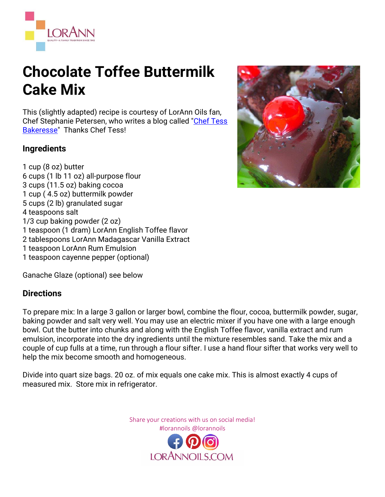

## **Chocolate Toffee Buttermilk Cake Mix**

This (slightly adapted) recipe is courtesy of LorAnn Oils fan, Chef Stephanie Petersen, who writes a blog called ["Chef Tess](http://cheftessbakeresse.blogspot.com/)  [Bakeresse"](http://cheftessbakeresse.blogspot.com/) Thanks Chef Tess!

## **Ingredients**

1 cup (8 oz) butter 6 cups (1 lb 11 oz) all-purpose flour 3 cups (11.5 oz) baking cocoa 1 cup ( 4.5 oz) buttermilk powder 5 cups (2 lb) granulated sugar 4 teaspoons salt 1/3 cup baking powder (2 oz) 1 teaspoon (1 dram) LorAnn English Toffee flavor 2 tablespoons LorAnn Madagascar Vanilla Extract 1 teaspoon LorAnn Rum Emulsion 1 teaspoon cayenne pepper (optional)

Ganache Glaze (optional) see below

## **Directions**

To prepare mix: In a large 3 gallon or larger bowl, combine the flour, cocoa, buttermilk powder, sugar, baking powder and salt very well. You may use an electric mixer if you have one with a large enough bowl. Cut the butter into chunks and along with the English Toffee flavor, vanilla extract and rum emulsion, incorporate into the dry ingredients until the mixture resembles sand. Take the mix and a couple of cup fulls at a time, run through a flour sifter. I use a hand flour sifter that works very well to help the mix become smooth and homogeneous.

Divide into quart size bags. 20 oz. of mix equals one cake mix. This is almost exactly 4 cups of measured mix. Store mix in refrigerator.